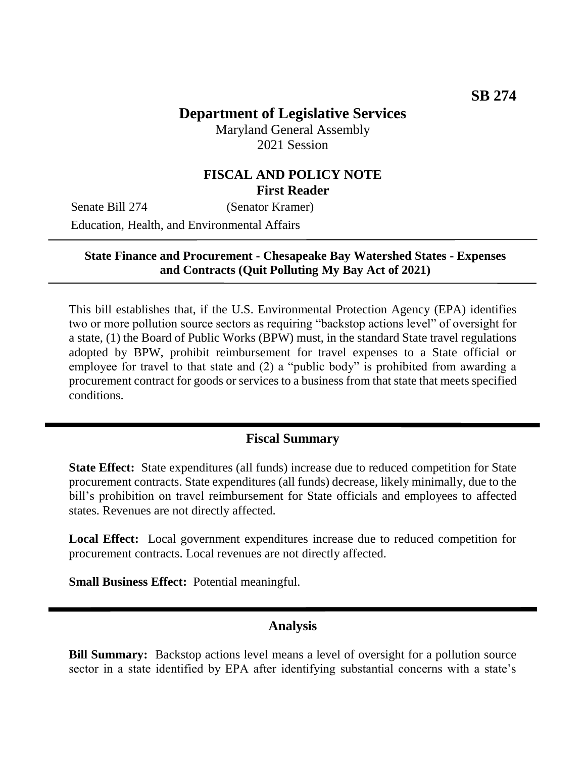## **Department of Legislative Services**

Maryland General Assembly 2021 Session

## **FISCAL AND POLICY NOTE First Reader**

Senate Bill 274 (Senator Kramer)

Education, Health, and Environmental Affairs

#### **State Finance and Procurement - Chesapeake Bay Watershed States - Expenses and Contracts (Quit Polluting My Bay Act of 2021)**

This bill establishes that, if the U.S. Environmental Protection Agency (EPA) identifies two or more pollution source sectors as requiring "backstop actions level" of oversight for a state, (1) the Board of Public Works (BPW) must, in the standard State travel regulations adopted by BPW, prohibit reimbursement for travel expenses to a State official or employee for travel to that state and (2) a "public body" is prohibited from awarding a procurement contract for goods or services to a business from that state that meets specified conditions.

### **Fiscal Summary**

**State Effect:** State expenditures (all funds) increase due to reduced competition for State procurement contracts. State expenditures (all funds) decrease, likely minimally, due to the bill's prohibition on travel reimbursement for State officials and employees to affected states. Revenues are not directly affected.

Local Effect: Local government expenditures increase due to reduced competition for procurement contracts. Local revenues are not directly affected.

**Small Business Effect:** Potential meaningful.

#### **Analysis**

**Bill Summary:** Backstop actions level means a level of oversight for a pollution source sector in a state identified by EPA after identifying substantial concerns with a state's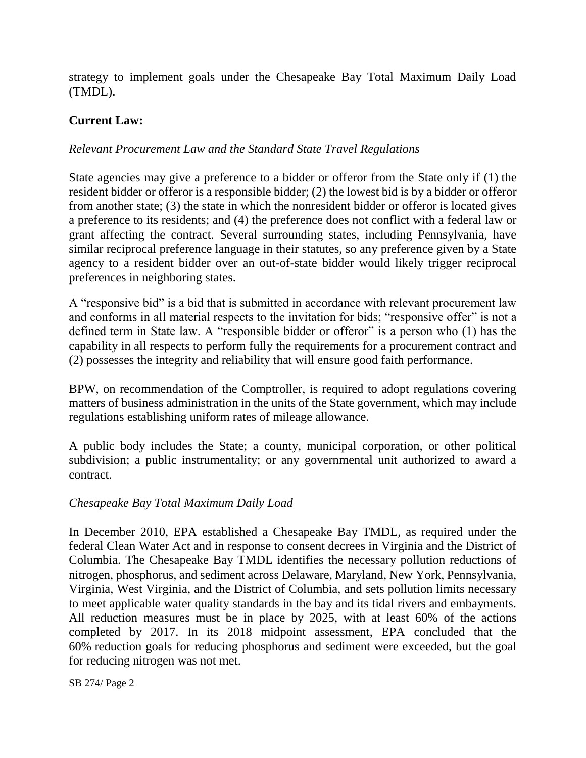strategy to implement goals under the Chesapeake Bay Total Maximum Daily Load (TMDL).

### **Current Law:**

### *Relevant Procurement Law and the Standard State Travel Regulations*

State agencies may give a preference to a bidder or offeror from the State only if (1) the resident bidder or offeror is a responsible bidder; (2) the lowest bid is by a bidder or offeror from another state; (3) the state in which the nonresident bidder or offeror is located gives a preference to its residents; and (4) the preference does not conflict with a federal law or grant affecting the contract. Several surrounding states, including Pennsylvania, have similar reciprocal preference language in their statutes, so any preference given by a State agency to a resident bidder over an out-of-state bidder would likely trigger reciprocal preferences in neighboring states.

A "responsive bid" is a bid that is submitted in accordance with relevant procurement law and conforms in all material respects to the invitation for bids; "responsive offer" is not a defined term in State law. A "responsible bidder or offeror" is a person who (1) has the capability in all respects to perform fully the requirements for a procurement contract and (2) possesses the integrity and reliability that will ensure good faith performance.

BPW, on recommendation of the Comptroller, is required to adopt regulations covering matters of business administration in the units of the State government, which may include regulations establishing uniform rates of mileage allowance.

A public body includes the State; a county, municipal corporation, or other political subdivision; a public instrumentality; or any governmental unit authorized to award a contract.

#### *Chesapeake Bay Total Maximum Daily Load*

In December 2010, EPA established a Chesapeake Bay TMDL, as required under the federal Clean Water Act and in response to consent decrees in Virginia and the District of Columbia. The Chesapeake Bay TMDL identifies the necessary pollution reductions of nitrogen, phosphorus, and sediment across Delaware, Maryland, New York, Pennsylvania, Virginia, West Virginia, and the District of Columbia, and sets pollution limits necessary to meet applicable water quality standards in the bay and its tidal rivers and embayments. All reduction measures must be in place by 2025, with at least 60% of the actions completed by 2017. In its 2018 midpoint assessment, EPA concluded that the 60% reduction goals for reducing phosphorus and sediment were exceeded, but the goal for reducing nitrogen was not met.

SB 274/ Page 2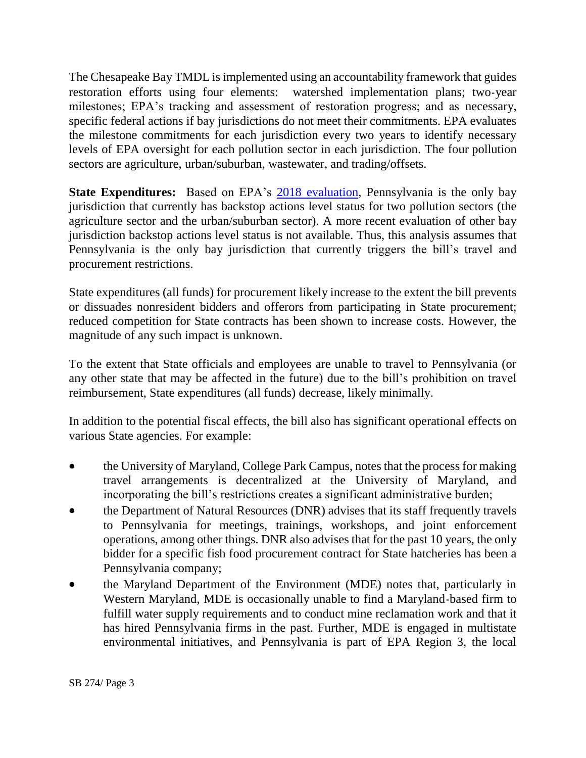The Chesapeake Bay TMDL is implemented using an accountability framework that guides restoration efforts using four elements: watershed implementation plans; two-year milestones; EPA's tracking and assessment of restoration progress; and as necessary, specific federal actions if bay jurisdictions do not meet their commitments. EPA evaluates the milestone commitments for each jurisdiction every two years to identify necessary levels of EPA oversight for each pollution sector in each jurisdiction. The four pollution sectors are agriculture, urban/suburban, wastewater, and trading/offsets.

**State Expenditures:** Based on EPA's [2018 evaluation,](https://www.epa.gov/chesapeake-bay-tmdl/epa-oversight-watershed-implementation-plans-wips-and-milestones-chesapeake-bay) Pennsylvania is the only bay jurisdiction that currently has backstop actions level status for two pollution sectors (the agriculture sector and the urban/suburban sector). A more recent evaluation of other bay jurisdiction backstop actions level status is not available. Thus, this analysis assumes that Pennsylvania is the only bay jurisdiction that currently triggers the bill's travel and procurement restrictions.

State expenditures (all funds) for procurement likely increase to the extent the bill prevents or dissuades nonresident bidders and offerors from participating in State procurement; reduced competition for State contracts has been shown to increase costs. However, the magnitude of any such impact is unknown.

To the extent that State officials and employees are unable to travel to Pennsylvania (or any other state that may be affected in the future) due to the bill's prohibition on travel reimbursement, State expenditures (all funds) decrease, likely minimally.

In addition to the potential fiscal effects, the bill also has significant operational effects on various State agencies. For example:

- the University of Maryland, College Park Campus, notes that the process for making travel arrangements is decentralized at the University of Maryland, and incorporating the bill's restrictions creates a significant administrative burden;
- the Department of Natural Resources (DNR) advises that its staff frequently travels to Pennsylvania for meetings, trainings, workshops, and joint enforcement operations, among other things. DNR also advises that for the past 10 years, the only bidder for a specific fish food procurement contract for State hatcheries has been a Pennsylvania company;
- the Maryland Department of the Environment (MDE) notes that, particularly in Western Maryland, MDE is occasionally unable to find a Maryland-based firm to fulfill water supply requirements and to conduct mine reclamation work and that it has hired Pennsylvania firms in the past. Further, MDE is engaged in multistate environmental initiatives, and Pennsylvania is part of EPA Region 3, the local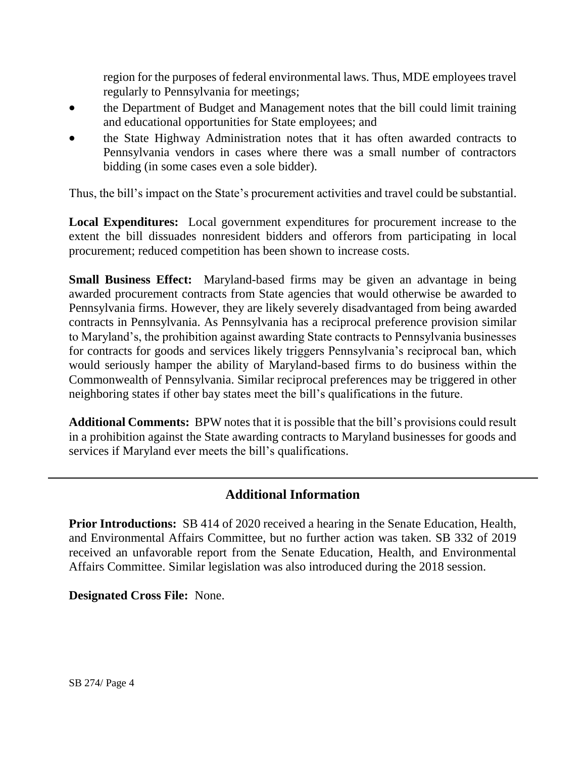region for the purposes of federal environmental laws. Thus, MDE employees travel regularly to Pennsylvania for meetings;

- the Department of Budget and Management notes that the bill could limit training and educational opportunities for State employees; and
- the State Highway Administration notes that it has often awarded contracts to Pennsylvania vendors in cases where there was a small number of contractors bidding (in some cases even a sole bidder).

Thus, the bill's impact on the State's procurement activities and travel could be substantial.

**Local Expenditures:** Local government expenditures for procurement increase to the extent the bill dissuades nonresident bidders and offerors from participating in local procurement; reduced competition has been shown to increase costs.

**Small Business Effect:** Maryland-based firms may be given an advantage in being awarded procurement contracts from State agencies that would otherwise be awarded to Pennsylvania firms. However, they are likely severely disadvantaged from being awarded contracts in Pennsylvania. As Pennsylvania has a reciprocal preference provision similar to Maryland's, the prohibition against awarding State contracts to Pennsylvania businesses for contracts for goods and services likely triggers Pennsylvania's reciprocal ban, which would seriously hamper the ability of Maryland-based firms to do business within the Commonwealth of Pennsylvania. Similar reciprocal preferences may be triggered in other neighboring states if other bay states meet the bill's qualifications in the future.

**Additional Comments:** BPW notes that it is possible that the bill's provisions could result in a prohibition against the State awarding contracts to Maryland businesses for goods and services if Maryland ever meets the bill's qualifications.

# **Additional Information**

**Prior Introductions:** SB 414 of 2020 received a hearing in the Senate Education, Health, and Environmental Affairs Committee, but no further action was taken. SB 332 of 2019 received an unfavorable report from the Senate Education, Health, and Environmental Affairs Committee. Similar legislation was also introduced during the 2018 session.

**Designated Cross File:** None.